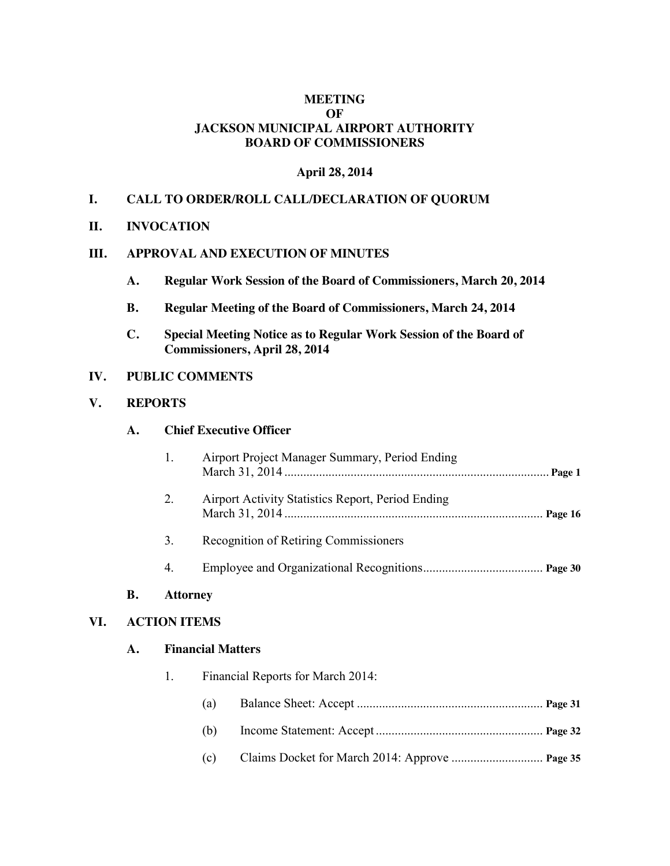### **MEETING OF JACKSON MUNICIPAL AIRPORT AUTHORITY BOARD OF COMMISSIONERS**

#### **April 28, 2014**

## **I. CALL TO ORDER/ROLL CALL/DECLARATION OF QUORUM**

**II. INVOCATION**

### **III. APPROVAL AND EXECUTION OF MINUTES**

- **A. Regular Work Session of the Board of Commissioners, March 20, 2014**
- **B. Regular Meeting of the Board of Commissioners, March 24, 2014**
- **C. Special Meeting Notice as to Regular Work Session of the Board of Commissioners, April 28, 2014**

### **IV. PUBLIC COMMENTS**

#### **V. REPORTS**

#### **A. Chief Executive Officer**

|     |                     | 1. |                          | Airport Project Manager Summary, Period Ending           |  |  |
|-----|---------------------|----|--------------------------|----------------------------------------------------------|--|--|
|     |                     | 2. |                          | <b>Airport Activity Statistics Report, Period Ending</b> |  |  |
|     |                     | 3. |                          | <b>Recognition of Retiring Commissioners</b>             |  |  |
|     |                     | 4. |                          |                                                          |  |  |
|     | <b>B.</b>           |    |                          |                                                          |  |  |
| VI. | <b>ACTION ITEMS</b> |    |                          |                                                          |  |  |
|     | A.                  |    | <b>Financial Matters</b> |                                                          |  |  |
|     |                     | 1. |                          | Financial Reports for March 2014:                        |  |  |
|     |                     |    | (a)                      |                                                          |  |  |
|     |                     |    | (b)                      |                                                          |  |  |
|     |                     |    | (c)                      |                                                          |  |  |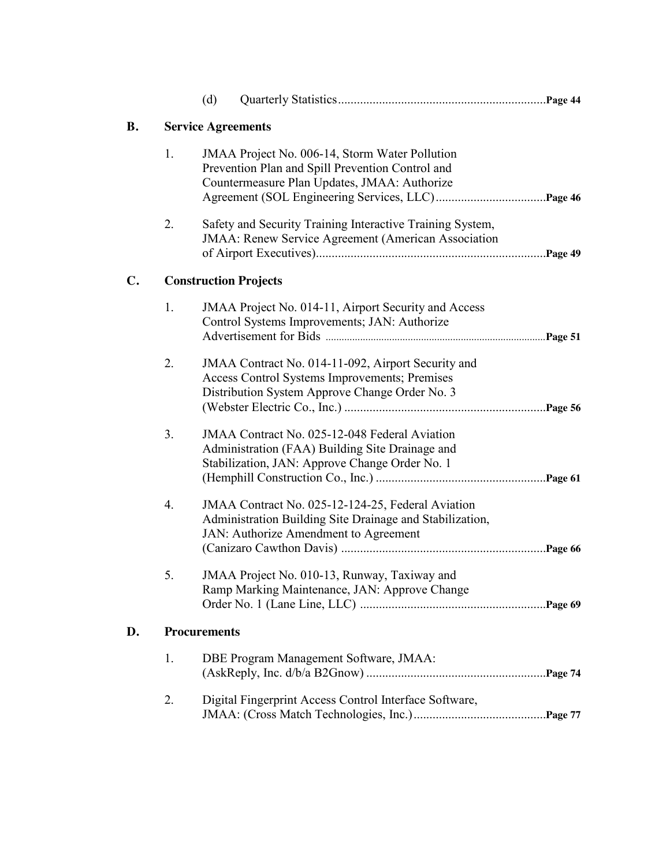|    |                              | (d)                                                                                                                                                |                                                                                                                                                        |  |  |  |  |
|----|------------------------------|----------------------------------------------------------------------------------------------------------------------------------------------------|--------------------------------------------------------------------------------------------------------------------------------------------------------|--|--|--|--|
| В. | <b>Service Agreements</b>    |                                                                                                                                                    |                                                                                                                                                        |  |  |  |  |
|    | 1.                           | JMAA Project No. 006-14, Storm Water Pollution<br>Prevention Plan and Spill Prevention Control and<br>Countermeasure Plan Updates, JMAA: Authorize |                                                                                                                                                        |  |  |  |  |
|    | 2.                           |                                                                                                                                                    | Safety and Security Training Interactive Training System,<br><b>JMAA</b> : Renew Service Agreement (American Association                               |  |  |  |  |
| C. | <b>Construction Projects</b> |                                                                                                                                                    |                                                                                                                                                        |  |  |  |  |
|    | 1.                           |                                                                                                                                                    | JMAA Project No. 014-11, Airport Security and Access<br>Control Systems Improvements; JAN: Authorize                                                   |  |  |  |  |
|    | 2.                           |                                                                                                                                                    | JMAA Contract No. 014-11-092, Airport Security and<br>Access Control Systems Improvements; Premises<br>Distribution System Approve Change Order No. 3  |  |  |  |  |
|    | 3.                           |                                                                                                                                                    | JMAA Contract No. 025-12-048 Federal Aviation<br>Administration (FAA) Building Site Drainage and<br>Stabilization, JAN: Approve Change Order No. 1     |  |  |  |  |
|    | 4.                           |                                                                                                                                                    | JMAA Contract No. 025-12-124-25, Federal Aviation<br>Administration Building Site Drainage and Stabilization,<br>JAN: Authorize Amendment to Agreement |  |  |  |  |
|    | 5.                           |                                                                                                                                                    | JMAA Project No. 010-13, Runway, Taxiway and<br>Ramp Marking Maintenance, JAN: Approve Change                                                          |  |  |  |  |
| D. | <b>Procurements</b>          |                                                                                                                                                    |                                                                                                                                                        |  |  |  |  |
|    | 1.                           |                                                                                                                                                    | DBE Program Management Software, JMAA:                                                                                                                 |  |  |  |  |
|    | 2.                           |                                                                                                                                                    | Digital Fingerprint Access Control Interface Software,                                                                                                 |  |  |  |  |